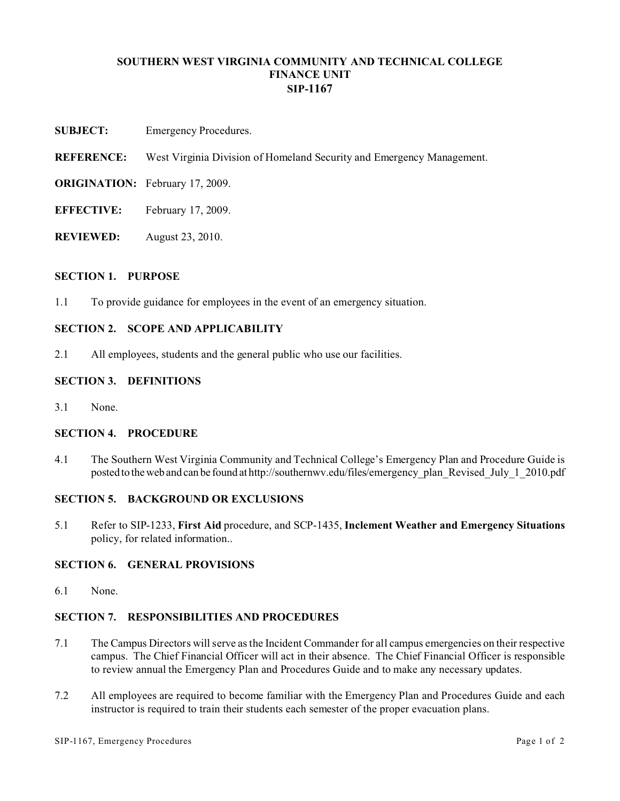## **SOUTHERN WEST VIRGINIA COMMUNITY AND TECHNICAL COLLEGE FINANCE UNIT SIP-1167**

- **SUBJECT:** Emergency Procedures.
- **REFERENCE:** West Virginia Division of Homeland Security and Emergency Management.
- **ORIGINATION:** February 17, 2009.
- **EFFECTIVE:** February 17, 2009.
- **REVIEWED:** August 23, 2010.

### **SECTION 1. PURPOSE**

1.1 To provide guidance for employees in the event of an emergency situation.

# **SECTION 2. SCOPE AND APPLICABILITY**

2.1 All employees, students and the general public who use our facilities.

### **SECTION 3. DEFINITIONS**

3.1 None.

## **SECTION 4. PROCEDURE**

4.1 The Southern West Virginia Community and Technical College's Emergency Plan and Procedure Guide is posted to theweb and can be found at http://southernwv.edu/files/emergency\_plan\_Revised\_July\_1\_2010.pdf

### **SECTION 5. BACKGROUND OR EXCLUSIONS**

5.1 Refer to SIP-1233, **First Aid** procedure, and SCP-1435, **Inclement Weather and Emergency Situations** policy, for related information..

## **SECTION 6. GENERAL PROVISIONS**

6.1 None.

## **SECTION 7. RESPONSIBILITIES AND PROCEDURES**

- 7.1 The Campus Directors will serve as the Incident Commander for all campus emergencies on their respective campus. The Chief Financial Officer will act in their absence. The Chief Financial Officer is responsible to review annual the Emergency Plan and Procedures Guide and to make any necessary updates.
- 7.2 All employees are required to become familiar with the Emergency Plan and Procedures Guide and each instructor is required to train their students each semester of the proper evacuation plans.